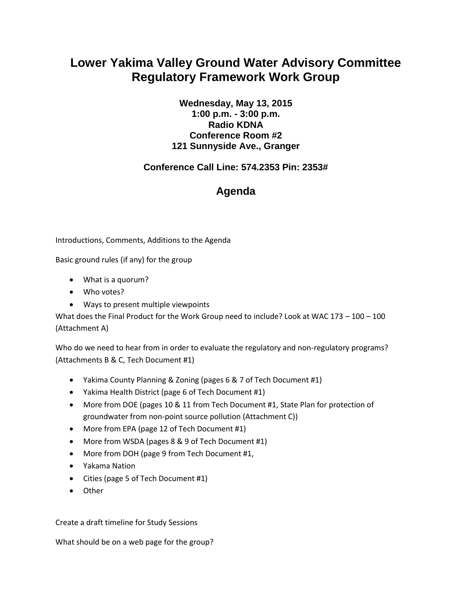## **Lower Yakima Valley Ground Water Advisory Committee Regulatory Framework Work Group**

**Wednesday, May 13, 2015 1:00 p.m. - 3:00 p.m. Radio KDNA Conference Room #2 121 Sunnyside Ave., Granger**

## **Conference Call Line: 574.2353 Pin: 2353#**

## **Agenda**

Introductions, Comments, Additions to the Agenda

Basic ground rules (if any) for the group

- What is a quorum?
- Who votes?
- Ways to present multiple viewpoints

What does the Final Product for the Work Group need to include? Look at WAC 173 – 100 – 100 (Attachment A)

Who do we need to hear from in order to evaluate the regulatory and non-regulatory programs? (Attachments B & C, Tech Document #1)

- Yakima County Planning & Zoning (pages 6 & 7 of Tech Document #1)
- Yakima Health District (page 6 of Tech Document #1)
- More from DOE (pages 10 & 11 from Tech Document #1, State Plan for protection of groundwater from non-point source pollution (Attachment C))
- More from EPA (page 12 of Tech Document #1)
- More from WSDA (pages 8 & 9 of Tech Document #1)
- More from DOH (page 9 from Tech Document #1,
- Yakama Nation
- Cities (page 5 of Tech Document #1)
- Other

Create a draft timeline for Study Sessions

What should be on a web page for the group?